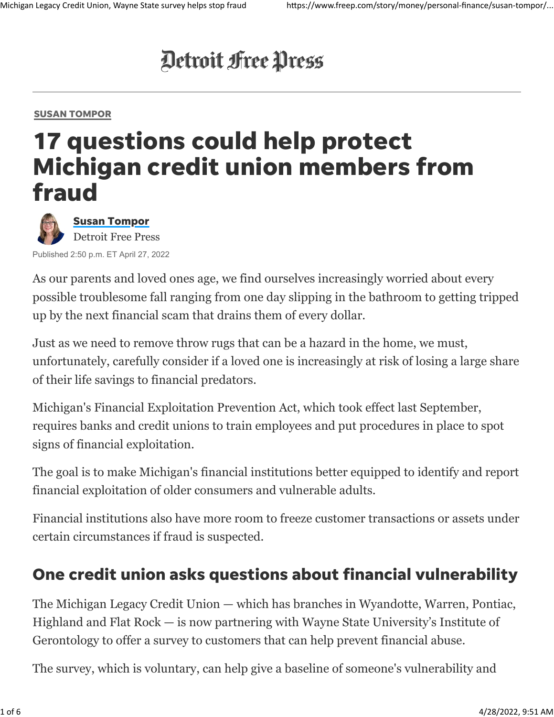# Detroit Free Press

#### [SUSAN TOMPOR](https://www.freep.com/business/susan-tompor/)

## 17 questions could help protect Michigan credit union members from fraud



[Susan Tompor](https://www.freep.com/staff/2646314001/susan-tompor/) Detroit Free Press

Published 2:50 p.m. ET April 27, 2022

As our parents and loved ones age, we find ourselves increasingly worried about every possible troublesome fall ranging from one day slipping in the bathroom to getting tripped up by the next financial scam that drains them of every dollar.

Just as we need to remove throw rugs that can be a hazard in the home, we must, unfortunately, carefully consider if a loved one is increasingly at risk of losing a large share of their life savings to financial predators.

Michigan's Financial Exploitation Prevention Act, which took effect last September, requires banks and credit unions to train employees and put procedures in place to spot signs of financial exploitation.

The goal is to make Michigan's financial institutions better equipped to identify and report financial exploitation of older consumers and vulnerable adults.

Financial institutions also have more room to freeze customer transactions or assets under certain circumstances if fraud is suspected.

#### One credit union asks questions about financial vulnerability

The Michigan Legacy Credit Union — which has branches in Wyandotte, Warren, Pontiac, Highland and Flat Rock — is now partnering with Wayne State University's Institute of Gerontology to offer a survey to customers that can help prevent financial abuse.

The survey, which is voluntary, can help give a baseline of someone's vulnerability and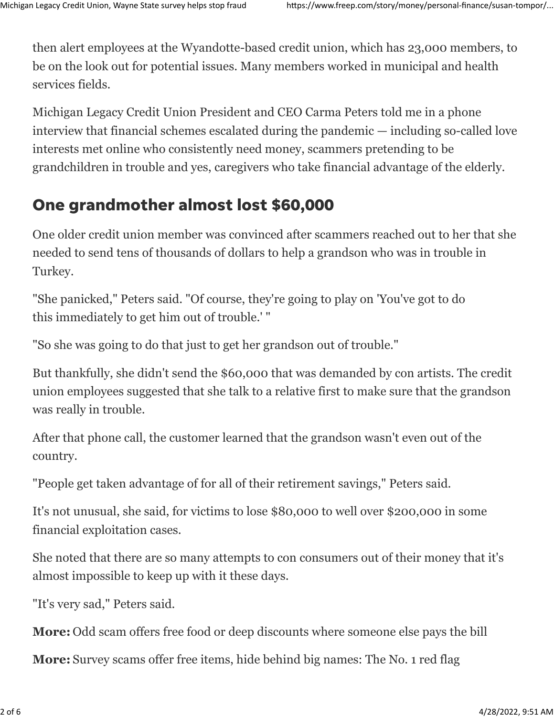then alert employees at the Wyandotte-based credit union, which has 23,000 members, to be on the look out for potential issues. Many members worked in municipal and health services fields.

Michigan Legacy Credit Union President and CEO Carma Peters told me in a phone interview that financial schemes escalated during the pandemic — including so-called love interests met online who consistently need money, scammers pretending to be grandchildren in trouble and yes, caregivers who take financial advantage of the elderly.

#### One grandmother almost lost \$60,000

One older credit union member was convinced after scammers reached out to her that she needed to send tens of thousands of dollars to help a grandson who was in trouble in Turkey.

"She panicked," Peters said. "Of course, they're going to play on 'You've got to do this immediately to get him out of trouble.' "

"So she was going to do that just to get her grandson out of trouble."

But thankfully, she didn't send the \$60,000 that was demanded by con artists. The credit union employees suggested that she talk to a relative first to make sure that the grandson was really in trouble.

After that phone call, the customer learned that the grandson wasn't even out of the country.

"People get taken advantage of for all of their retirement savings," Peters said.

It's not unusual, she said, for victims to lose \$80,000 to well over \$200,000 in some financial exploitation cases.

She noted that there are so many attempts to con consumers out of their money that it's almost impossible to keep up with it these days.

"It's very sad," Peters said.

**More:** [Odd scam offers free food or deep discounts where someone else pays the bill](https://www.freep.com/story/money/personal-finance/susan-tompor/2022/04/20/food-delivery-scams-tiktok-social-media/7090339001/)

**More:** [Survey scams offer free items, hide behind big names: The No. 1 red flag](https://www.freep.com/story/money/personal-finance/susan-tompor/2022/02/25/red-flags-surveys-pfizer-costco-scams/6894748001/)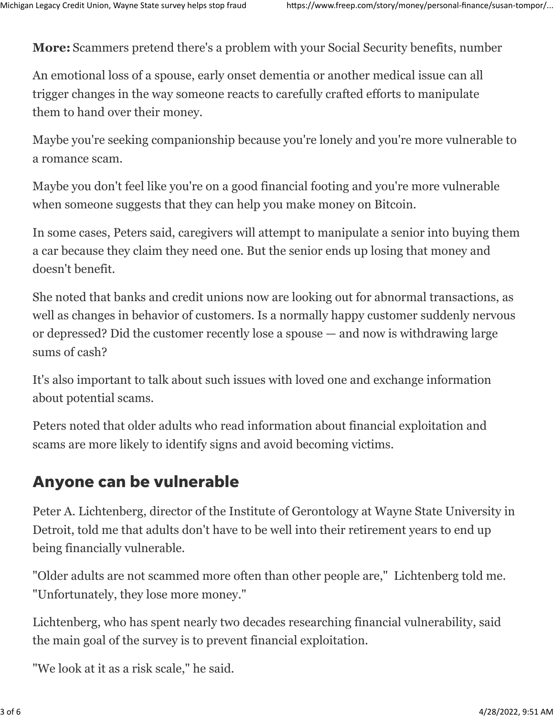**More:** [Scammers pretend there's a problem with your Social Security benefits, number](https://www.freep.com/story/money/personal-finance/susan-tompor/2022/03/11/social-security-scams-whatsapp/9437636002/)

An emotional loss of a spouse, early onset dementia or another medical issue can all trigger changes in the way someone reacts to carefully crafted efforts to manipulate them to hand over their money.

Maybe you're seeking companionship because you're lonely and you're more vulnerable to a romance scam.

Maybe you don't feel like you're on a good financial footing and you're more vulnerable when someone suggests that they can help you make money on Bitcoin.

In some cases, Peters said, caregivers will attempt to manipulate a senior into buying them a car because they claim they need one. But the senior ends up losing that money and doesn't benefit.

She noted that banks and credit unions now are looking out for abnormal transactions, as well as changes in behavior of customers. Is a normally happy customer suddenly nervous or depressed? Did the customer recently lose a spouse — and now is withdrawing large sums of cash?

It's also important to talk about such issues with loved one and exchange information about potential scams.

Peters noted that older adults who read information about financial exploitation and scams are more likely to identify signs and avoid becoming victims.

#### Anyone can be vulnerable

Peter A. Lichtenberg, director of the Institute of Gerontology at Wayne State University in Detroit, told me that adults don't have to be well into their retirement years to end up being financially vulnerable.

"Older adults are not scammed more often than other people are," Lichtenberg told me. "Unfortunately, they lose more money."

Lichtenberg, who has spent nearly two decades researching financial vulnerability, said the main goal of the survey is to prevent financial exploitation.

"We look at it as a risk scale," he said.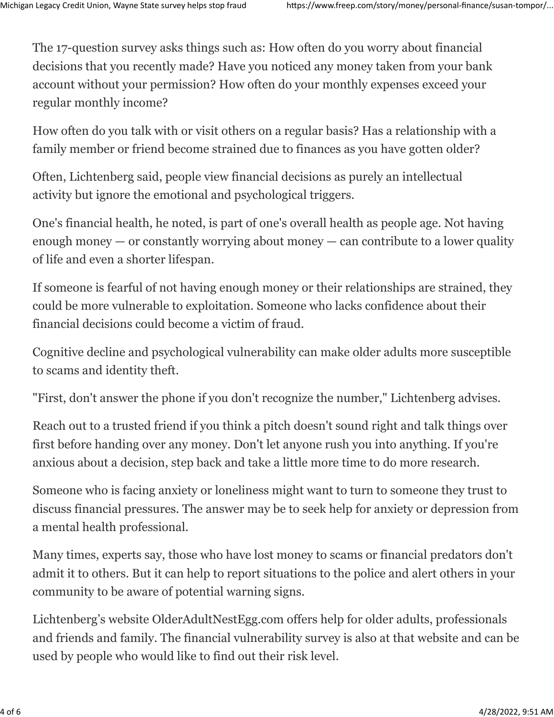The 17-question survey asks things such as: How often do you worry about financial decisions that you recently made? Have you noticed any money taken from your bank account without your permission? How often do your monthly expenses exceed your regular monthly income?

How often do you talk with or visit others on a regular basis? Has a relationship with a family member or friend become strained due to finances as you have gotten older?

Often, Lichtenberg said, people view financial decisions as purely an intellectual activity but ignore the emotional and psychological triggers.

One's financial health, he noted, is part of one's overall health as people age. Not having enough money — or constantly worrying about money — can contribute to a lower quality of life and even a shorter lifespan.

If someone is fearful of not having enough money or their relationships are strained, they could be more vulnerable to exploitation. Someone who lacks confidence about their financial decisions could become a victim of fraud.

Cognitive decline and psychological vulnerability can make older adults more susceptible to scams and identity theft.

"First, don't answer the phone if you don't recognize the number," Lichtenberg advises.

Reach out to a trusted friend if you think a pitch doesn't sound right and talk things over first before handing over any money. Don't let anyone rush you into anything. If you're anxious about a decision, step back and take a little more time to do more research.

Someone who is facing anxiety or loneliness might want to turn to someone they trust to discuss financial pressures. The answer may be to seek help for anxiety or depression from a mental health professional.

Many times, experts say, those who have lost money to scams or financial predators don't admit it to others. But it can help to report situations to the police and alert others in your community to be aware of potential warning signs.

Lichtenberg's website [OlderAdultNestEgg.com](https://www.olderadultnestegg.com/) offers help for older adults, professionals and friends and family. The financial vulnerability survey is also at that website and can be used by people who would like to find out their risk level.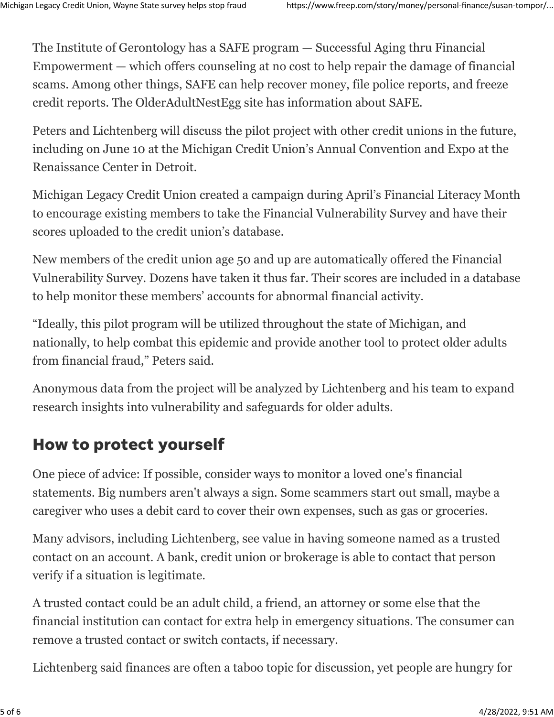The Institute of Gerontology has a SAFE program — Successful Aging thru Financial Empowerment — which offers counseling at no cost to help repair the damage of financial scams. Among other things, [SAFE](https://www.olderadultnestegg.com/for-older-adults/safe-financial-coaching/) can help recover money, file police reports, and freeze credit reports. The OlderAdultNestEgg site has information about SAFE.

Peters and Lichtenberg will discuss the pilot project with other credit unions in the future, including on June 10 at the Michigan Credit Union's Annual Convention and Expo at the Renaissance Center in Detroit.

Michigan Legacy Credit Union created a campaign during April's Financial Literacy Month to encourage existing members to take the [Financial Vulnerability Survey](https://www.olderadultnestegg.com/for-older-adults/financial-vulnerability-survey/) and have their scores uploaded to the credit union's database.

New members of the credit union age 50 and up are automatically offered the Financial Vulnerability Survey. Dozens have taken it thus far. Their scores are included in a database to help monitor these members' accounts for abnormal financial activity.

"Ideally, this pilot program will be utilized throughout the state of Michigan, and nationally, to help combat this epidemic and provide another tool to protect older adults from financial fraud," Peters said.

Anonymous data from the project will be analyzed by Lichtenberg and his team to expand research insights into vulnerability and safeguards for older adults.

### How to protect yourself

One piece of advice: If possible, consider ways to monitor a loved one's financial statements. Big numbers aren't always a sign. Some scammers start out small, maybe a caregiver who uses a debit card to cover their own expenses, such as gas or groceries.

Many advisors, including Lichtenberg, see value in having someone named as a trusted contact on an account. A bank, credit union or brokerage is able to contact that person verify if a situation is legitimate.

A [trusted contact](https://files.consumerfinance.gov/f/documents/cfpb_trusted-contacts-consumers_2021-11.pdf) could be an adult child, a friend, an attorney or some else that the financial institution can contact for extra help in emergency situations. The consumer can remove a trusted contact or switch contacts, if necessary.

Lichtenberg said finances are often a taboo topic for discussion, yet people are hungry for